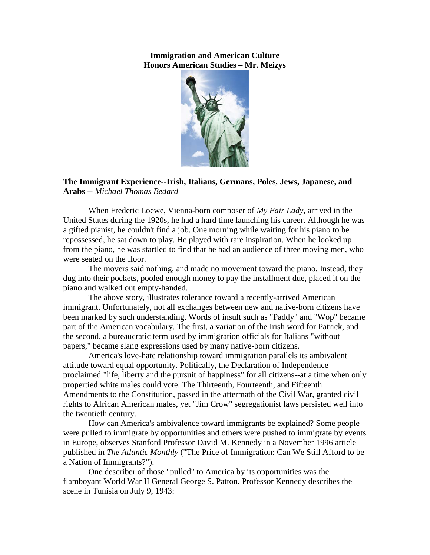**Immigration and American Culture Honors American Studies – Mr. Meizys**



# **The Immigrant Experience--Irish, Italians, Germans, Poles, Jews, Japanese, and Arabs** *-- Michael Thomas Bedard*

When Frederic Loewe, Vienna-born composer of *My Fair Lady,* arrived in the United States during the 1920s, he had a hard time launching his career. Although he was a gifted pianist, he couldn't find a job. One morning while waiting for his piano to be repossessed, he sat down to play. He played with rare inspiration. When he looked up from the piano, he was startled to find that he had an audience of three moving men, who were seated on the floor.

The movers said nothing, and made no movement toward the piano. Instead, they dug into their pockets, pooled enough money to pay the installment due, placed it on the piano and walked out empty-handed.

The above story, illustrates tolerance toward a recently-arrived American immigrant. Unfortunately, not all exchanges between new and native-born citizens have been marked by such understanding. Words of insult such as "Paddy" and "Wop" became part of the American vocabulary. The first, a variation of the Irish word for Patrick, and the second, a bureaucratic term used by immigration officials for Italians "without papers," became slang expressions used by many native-born citizens.

America's love-hate relationship toward immigration parallels its ambivalent attitude toward equal opportunity. Politically, the Declaration of Independence proclaimed "life, liberty and the pursuit of happiness" for all citizens--at a time when only propertied white males could vote. The Thirteenth, Fourteenth, and Fifteenth Amendments to the Constitution, passed in the aftermath of the Civil War, granted civil rights to African American males, yet "Jim Crow" segregationist laws persisted well into the twentieth century.

How can America's ambivalence toward immigrants be explained? Some people were pulled to immigrate by opportunities and others were pushed to immigrate by events in Europe, observes Stanford Professor David M. Kennedy in a November 1996 article published in *The Atlantic Monthly* ("The Price of Immigration: Can We Still Afford to be a Nation of Immigrants?").

One describer of those "pulled" to America by its opportunities was the flamboyant World War II General George S. Patton. Professor Kennedy describes the scene in Tunisia on July 9, 1943: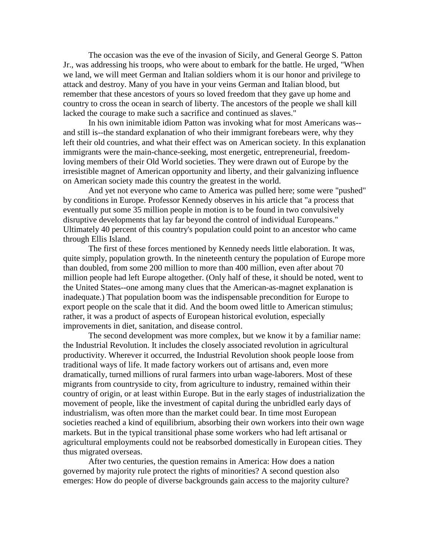The occasion was the eve of the invasion of Sicily, and General George S. Patton Jr., was addressing his troops, who were about to embark for the battle. He urged, "When we land, we will meet German and Italian soldiers whom it is our honor and privilege to attack and destroy. Many of you have in your veins German and Italian blood, but remember that these ancestors of yours so loved freedom that they gave up home and country to cross the ocean in search of liberty. The ancestors of the people we shall kill lacked the courage to make such a sacrifice and continued as slaves."

In his own inimitable idiom Patton was invoking what for most Americans was- and still is--the standard explanation of who their immigrant forebears were, why they left their old countries, and what their effect was on American society. In this explanation immigrants were the main-chance-seeking, most energetic, entrepreneurial, freedomloving members of their Old World societies. They were drawn out of Europe by the irresistible magnet of American opportunity and liberty, and their galvanizing influence on American society made this country the greatest in the world.

And yet not everyone who came to America was pulled here; some were "pushed" by conditions in Europe. Professor Kennedy observes in his article that "a process that eventually put some 35 million people in motion is to be found in two convulsively disruptive developments that lay far beyond the control of individual Europeans." Ultimately 40 percent of this country's population could point to an ancestor who came through Ellis Island.

The first of these forces mentioned by Kennedy needs little elaboration. It was, quite simply, population growth. In the nineteenth century the population of Europe more than doubled, from some 200 million to more than 400 million, even after about 70 million people had left Europe altogether. (Only half of these, it should be noted, went to the United States--one among many clues that the American-as-magnet explanation is inadequate.) That population boom was the indispensable precondition for Europe to export people on the scale that it did. And the boom owed little to American stimulus; rather, it was a product of aspects of European historical evolution, especially improvements in diet, sanitation, and disease control.

The second development was more complex, but we know it by a familiar name: the Industrial Revolution. It includes the closely associated revolution in agricultural productivity. Wherever it occurred, the Industrial Revolution shook people loose from traditional ways of life. It made factory workers out of artisans and, even more dramatically, turned millions of rural farmers into urban wage-laborers. Most of these migrants from countryside to city, from agriculture to industry, remained within their country of origin, or at least within Europe. But in the early stages of industrialization the movement of people, like the investment of capital during the unbridled early days of industrialism, was often more than the market could bear. In time most European societies reached a kind of equilibrium, absorbing their own workers into their own wage markets. But in the typical transitional phase some workers who had left artisanal or agricultural employments could not be reabsorbed domestically in European cities. They thus migrated overseas.

After two centuries, the question remains in America: How does a nation governed by majority rule protect the rights of minorities? A second question also emerges: How do people of diverse backgrounds gain access to the majority culture?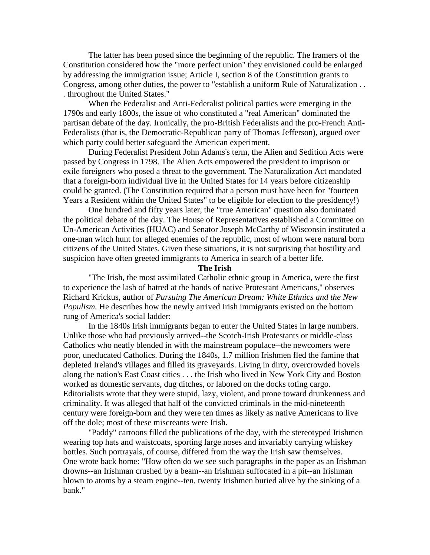The latter has been posed since the beginning of the republic. The framers of the Constitution considered how the "more perfect union" they envisioned could be enlarged by addressing the immigration issue; Article I, section 8 of the Constitution grants to Congress, among other duties, the power to "establish a uniform Rule of Naturalization . . . throughout the United States."

When the Federalist and Anti-Federalist political parties were emerging in the 1790s and early 1800s, the issue of who constituted a "real American" dominated the partisan debate of the day. Ironically, the pro-British Federalists and the pro-French Anti-Federalists (that is, the Democratic-Republican party of Thomas Jefferson), argued over which party could better safeguard the American experiment.

During Federalist President John Adams's term, the Alien and Sedition Acts were passed by Congress in 1798. The Alien Acts empowered the president to imprison or exile foreigners who posed a threat to the government. The Naturalization Act mandated that a foreign-born individual live in the United States for 14 years before citizenship could be granted. (The Constitution required that a person must have been for "fourteen Years a Resident within the United States" to be eligible for election to the presidency!)

One hundred and fifty years later, the "true American" question also dominated the political debate of the day. The House of Representatives established a Committee on Un-American Activities (HUAC) and Senator Joseph McCarthy of Wisconsin instituted a one-man witch hunt for alleged enemies of the republic, most of whom were natural born citizens of the United States. Given these situations, it is not surprising that hostility and suspicion have often greeted immigrants to America in search of a better life.

#### **The Irish**

"The Irish, the most assimilated Catholic ethnic group in America, were the first to experience the lash of hatred at the hands of native Protestant Americans," observes Richard Krickus, author of *Pursuing The American Dream: White Ethnics and the New Populism.* He describes how the newly arrived Irish immigrants existed on the bottom rung of America's social ladder:

In the 1840s Irish immigrants began to enter the United States in large numbers. Unlike those who had previously arrived--the Scotch-Irish Protestants or middle-class Catholics who neatly blended in with the mainstream populace--the newcomers were poor, uneducated Catholics. During the 1840s, 1.7 million Irishmen fled the famine that depleted Ireland's villages and filled its graveyards. Living in dirty, overcrowded hovels along the nation's East Coast cities . . . the Irish who lived in New York City and Boston worked as domestic servants, dug ditches, or labored on the docks toting cargo. Editorialists wrote that they were stupid, lazy, violent, and prone toward drunkenness and criminality. It was alleged that half of the convicted criminals in the mid-nineteenth century were foreign-born and they were ten times as likely as native Americans to live off the dole; most of these miscreants were Irish.

"Paddy" cartoons filled the publications of the day, with the stereotyped Irishmen wearing top hats and waistcoats, sporting large noses and invariably carrying whiskey bottles. Such portrayals, of course, differed from the way the Irish saw themselves. One wrote back home: "How often do we see such paragraphs in the paper as an Irishman drowns--an Irishman crushed by a beam--an Irishman suffocated in a pit--an Irishman blown to atoms by a steam engine--ten, twenty Irishmen buried alive by the sinking of a bank."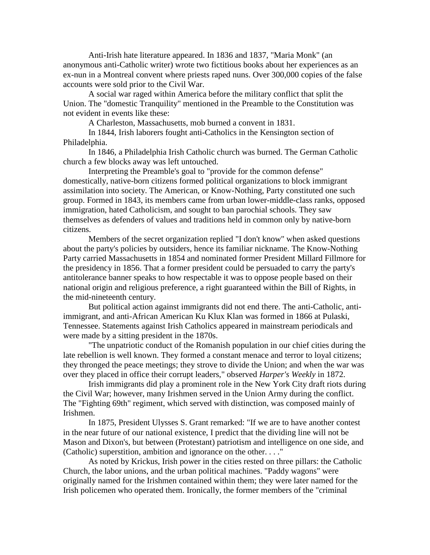Anti-Irish hate literature appeared. In 1836 and 1837, "Maria Monk" (an anonymous anti-Catholic writer) wrote two fictitious books about her experiences as an ex-nun in a Montreal convent where priests raped nuns. Over 300,000 copies of the false accounts were sold prior to the Civil War.

A social war raged within America before the military conflict that split the Union. The "domestic Tranquility" mentioned in the Preamble to the Constitution was not evident in events like these:

A Charleston, Massachusetts, mob burned a convent in 1831.

In 1844, Irish laborers fought anti-Catholics in the Kensington section of Philadelphia.

In 1846, a Philadelphia Irish Catholic church was burned. The German Catholic church a few blocks away was left untouched.

Interpreting the Preamble's goal to "provide for the common defense" domestically, native-born citizens formed political organizations to block immigrant assimilation into society. The American, or Know-Nothing, Party constituted one such group. Formed in 1843, its members came from urban lower-middle-class ranks, opposed immigration, hated Catholicism, and sought to ban parochial schools. They saw themselves as defenders of values and traditions held in common only by native-born citizens.

Members of the secret organization replied "I don't know" when asked questions about the party's policies by outsiders, hence its familiar nickname. The Know-Nothing Party carried Massachusetts in 1854 and nominated former President Millard Fillmore for the presidency in 1856. That a former president could be persuaded to carry the party's antitolerance banner speaks to how respectable it was to oppose people based on their national origin and religious preference, a right guaranteed within the Bill of Rights, in the mid-nineteenth century.

But political action against immigrants did not end there. The anti-Catholic, antiimmigrant, and anti-African American Ku Klux Klan was formed in 1866 at Pulaski, Tennessee. Statements against Irish Catholics appeared in mainstream periodicals and were made by a sitting president in the 1870s.

"The unpatriotic conduct of the Romanish population in our chief cities during the late rebellion is well known. They formed a constant menace and terror to loyal citizens; they thronged the peace meetings; they strove to divide the Union; and when the war was over they placed in office their corrupt leaders," observed *Harper's Weekly* in 1872.

Irish immigrants did play a prominent role in the New York City draft riots during the Civil War; however, many Irishmen served in the Union Army during the conflict. The "Fighting 69th" regiment, which served with distinction, was composed mainly of Irishmen.

In 1875, President Ulysses S. Grant remarked: "If we are to have another contest in the near future of our national existence, I predict that the dividing line will not be Mason and Dixon's, but between (Protestant) patriotism and intelligence on one side, and (Catholic) superstition, ambition and ignorance on the other. . . ."

As noted by Krickus, Irish power in the cities rested on three pillars: the Catholic Church, the labor unions, and the urban political machines. "Paddy wagons" were originally named for the Irishmen contained within them; they were later named for the Irish policemen who operated them. Ironically, the former members of the "criminal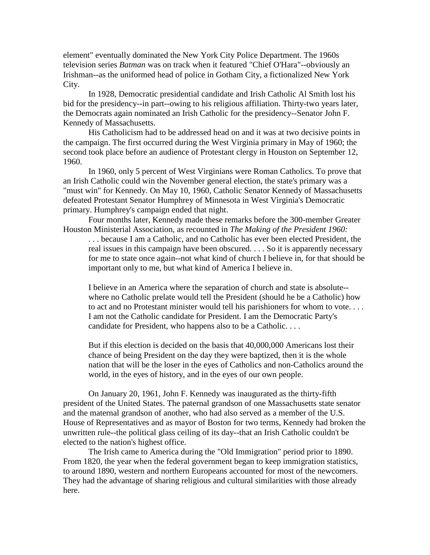element" eventually dominated the New York City Police Department. The 1960s television series *Batman* was on track when it featured "Chief O'Hara"--obviously an Irishman--as the uniformed head of police in Gotham City, a fictionalized New York City.

In 1928, Democratic presidential candidate and Irish Catholic Al Smith lost his bid for the presidency--in part--owing to his religious affiliation. Thirty-two years later, the Democrats again nominated an Irish Catholic for the presidency--Senator John F. Kennedy of Massachusetts.

His Catholicism had to be addressed head on and it was at two decisive points in the campaign. The first occurred during the West Virginia primary in May of 1960; the second took place before an audience of Protestant clergy in Houston on September 12, 1960.

In 1960, only 5 percent of West Virginians were Roman Catholics. To prove that an Irish Catholic could win the November general election, the state's primary was a "must win" for Kennedy. On May 10, 1960, Catholic Senator Kennedy of Massachusetts defeated Protestant Senator Humphrey of Minnesota in West Virginia's Democratic primary. Humphrey's campaign ended that night.

Four months later, Kennedy made these remarks before the 300-member Greater Houston Ministerial Association, as recounted in *The Making of the President 1960:*

. . . because I am a Catholic, and no Catholic has ever been elected President, the real issues in this campaign have been obscured. . . . So it is apparently necessary for me to state once again--not what kind of church I believe in, for that should be important only to me, but what kind of America I believe in.

I believe in an America where the separation of church and state is absolute- where no Catholic prelate would tell the President (should he be a Catholic) how to act and no Protestant minister would tell his parishioners for whom to vote. . . . I am not the Catholic candidate for President. I am the Democratic Party's candidate for President, who happens also to be a Catholic. . . .

But if this election is decided on the basis that 40,000,000 Americans lost their chance of being President on the day they were baptized, then it is the whole nation that will be the loser in the eyes of Catholics and non-Catholics around the world, in the eyes of history, and in the eyes of our own people.

On January 20, 1961, John F. Kennedy was inaugurated as the thirty-fifth president of the United States. The paternal grandson of one Massachusetts state senator and the maternal grandson of another, who had also served as a member of the U.S. House of Representatives and as mayor of Boston for two terms, Kennedy had broken the unwritten rule--the political glass ceiling of its day--that an Irish Catholic couldn't be elected to the nation's highest office.

The Irish came to America during the "Old Immigration" period prior to 1890. From 1820, the year when the federal government began to keep immigration statistics, to around 1890, western and northern Europeans accounted for most of the newcomers. They had the advantage of sharing religious and cultural similarities with those already here.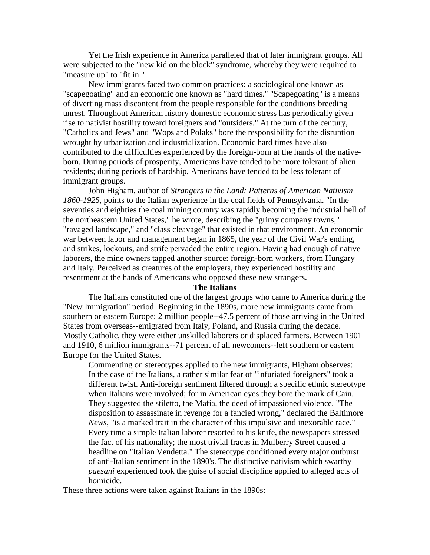Yet the Irish experience in America paralleled that of later immigrant groups. All were subjected to the "new kid on the block" syndrome, whereby they were required to "measure up" to "fit in."

New immigrants faced two common practices: a sociological one known as "scapegoating" and an economic one known as "hard times." "Scapegoating" is a means of diverting mass discontent from the people responsible for the conditions breeding unrest. Throughout American history domestic economic stress has periodically given rise to nativist hostility toward foreigners and "outsiders." At the turn of the century, "Catholics and Jews" and "Wops and Polaks" bore the responsibility for the disruption wrought by urbanization and industrialization. Economic hard times have also contributed to the difficulties experienced by the foreign-born at the hands of the nativeborn. During periods of prosperity, Americans have tended to be more tolerant of alien residents; during periods of hardship, Americans have tended to be less tolerant of immigrant groups.

John Higham, author of *Strangers in the Land: Patterns of American Nativism 1860-1925,* points to the Italian experience in the coal fields of Pennsylvania. "In the seventies and eighties the coal mining country was rapidly becoming the industrial hell of the northeastern United States," he wrote, describing the "grimy company towns," "ravaged landscape," and "class cleavage" that existed in that environment. An economic war between labor and management began in 1865, the year of the Civil War's ending, and strikes, lockouts, and strife pervaded the entire region. Having had enough of native laborers, the mine owners tapped another source: foreign-born workers, from Hungary and Italy. Perceived as creatures of the employers, they experienced hostility and resentment at the hands of Americans who opposed these new strangers.

#### **The Italians**

The Italians constituted one of the largest groups who came to America during the "New Immigration" period. Beginning in the 1890s, more new immigrants came from southern or eastern Europe; 2 million people--47.5 percent of those arriving in the United States from overseas--emigrated from Italy, Poland, and Russia during the decade. Mostly Catholic, they were either unskilled laborers or displaced farmers. Between 1901 and 1910, 6 million immigrants--71 percent of all newcomers--left southern or eastern Europe for the United States.

Commenting on stereotypes applied to the new immigrants, Higham observes: In the case of the Italians, a rather similar fear of "infuriated foreigners" took a different twist. Anti-foreign sentiment filtered through a specific ethnic stereotype when Italians were involved; for in American eyes they bore the mark of Cain. They suggested the stiletto, the Mafia, the deed of impassioned violence. "The disposition to assassinate in revenge for a fancied wrong," declared the Baltimore *News*, "is a marked trait in the character of this impulsive and inexorable race." Every time a simple Italian laborer resorted to his knife, the newspapers stressed the fact of his nationality; the most trivial fracas in Mulberry Street caused a headline on "Italian Vendetta." The stereotype conditioned every major outburst of anti-Italian sentiment in the 1890's. The distinctive nativism which swarthy *paesani* experienced took the guise of social discipline applied to alleged acts of homicide.

These three actions were taken against Italians in the 1890s: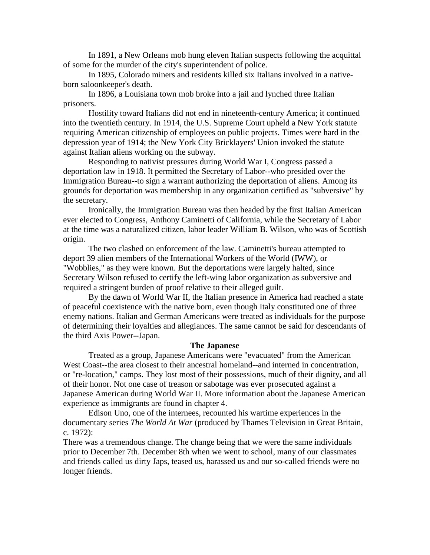In 1891, a New Orleans mob hung eleven Italian suspects following the acquittal of some for the murder of the city's superintendent of police.

In 1895, Colorado miners and residents killed six Italians involved in a nativeborn saloonkeeper's death.

In 1896, a Louisiana town mob broke into a jail and lynched three Italian prisoners.

Hostility toward Italians did not end in nineteenth-century America; it continued into the twentieth century. In 1914, the U.S. Supreme Court upheld a New York statute requiring American citizenship of employees on public projects. Times were hard in the depression year of 1914; the New York City Bricklayers' Union invoked the statute against Italian aliens working on the subway.

Responding to nativist pressures during World War I, Congress passed a deportation law in 1918. It permitted the Secretary of Labor--who presided over the Immigration Bureau--to sign a warrant authorizing the deportation of aliens. Among its grounds for deportation was membership in any organization certified as "subversive" by the secretary.

Ironically, the Immigration Bureau was then headed by the first Italian American ever elected to Congress, Anthony Caminetti of California, while the Secretary of Labor at the time was a naturalized citizen, labor leader William B. Wilson, who was of Scottish origin.

The two clashed on enforcement of the law. Caminetti's bureau attempted to deport 39 alien members of the International Workers of the World (IWW), or "Wobblies," as they were known. But the deportations were largely halted, since Secretary Wilson refused to certify the left-wing labor organization as subversive and required a stringent burden of proof relative to their alleged guilt.

By the dawn of World War II, the Italian presence in America had reached a state of peaceful coexistence with the native born, even though Italy constituted one of three enemy nations. Italian and German Americans were treated as individuals for the purpose of determining their loyalties and allegiances. The same cannot be said for descendants of the third Axis Power--Japan.

### **The Japanese**

Treated as a group, Japanese Americans were "evacuated" from the American West Coast--the area closest to their ancestral homeland--and interned in concentration, or "re-location," camps. They lost most of their possessions, much of their dignity, and all of their honor. Not one case of treason or sabotage was ever prosecuted against a Japanese American during World War II. More information about the Japanese American experience as immigrants are found in chapter 4.

Edison Uno, one of the internees, recounted his wartime experiences in the documentary series *The World At War* (produced by Thames Television in Great Britain, c. 1972):

There was a tremendous change. The change being that we were the same individuals prior to December 7th. December 8th when we went to school, many of our classmates and friends called us dirty Japs, teased us, harassed us and our so-called friends were no longer friends.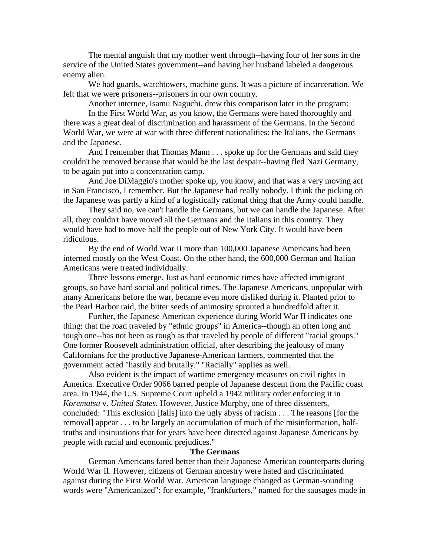The mental anguish that my mother went through--having four of her sons in the service of the United States government--and having her husband labeled a dangerous enemy alien.

We had guards, watchtowers, machine guns. It was a picture of incarceration. We felt that we were prisoners--prisoners in our own country.

Another internee, Isamu Naguchi, drew this comparison later in the program:

In the First World War, as you know, the Germans were hated thoroughly and there was a great deal of discrimination and harassment of the Germans. In the Second World War, we were at war with three different nationalities: the Italians, the Germans and the Japanese.

And I remember that Thomas Mann . . . spoke up for the Germans and said they couldn't be removed because that would be the last despair--having fled Nazi Germany, to be again put into a concentration camp.

And Joe DiMaggio's mother spoke up, you know, and that was a very moving act in San Francisco, I remember. But the Japanese had really nobody. I think the picking on the Japanese was partly a kind of a logistically rational thing that the Army could handle.

They said no, we can't handle the Germans, but we can handle the Japanese. After all, they couldn't have moved all the Germans and the Italians in this country. They would have had to move half the people out of New York City. It would have been ridiculous.

By the end of World War II more than 100,000 Japanese Americans had been interned mostly on the West Coast. On the other hand, the 600,000 German and Italian Americans were treated individually.

Three lessons emerge. Just as hard economic times have affected immigrant groups, so have hard social and political times. The Japanese Americans, unpopular with many Americans before the war, became even more disliked during it. Planted prior to the Pearl Harbor raid, the bitter seeds of animosity sprouted a hundredfold after it.

Further, the Japanese American experience during World War II indicates one thing: that the road traveled by "ethnic groups" in America--though an often long and tough one--has not been as rough as that traveled by people of different "racial groups." One former Roosevelt administration official, after describing the jealousy of many Californians for the productive Japanese-American farmers, commented that the government acted "hastily and brutally." "Racially" applies as well.

Also evident is the impact of wartime emergency measures on civil rights in America. Executive Order 9066 barred people of Japanese descent from the Pacific coast area. In 1944, the U.S. Supreme Court upheld a 1942 military order enforcing it in *Korematsu* v. *United States.* However, Justice Murphy, one of three dissenters, concluded: "This exclusion [falls] into the ugly abyss of racism . . . The reasons [for the removal] appear . . . to be largely an accumulation of much of the misinformation, halftruths and insinuations that for years have been directed against Japanese Americans by people with racial and economic prejudices."

## **The Germans**

German Americans fared better than their Japanese American counterparts during World War II. However, citizens of German ancestry were hated and discriminated against during the First World War. American language changed as German-sounding words were "Americanized": for example, "frankfurters," named for the sausages made in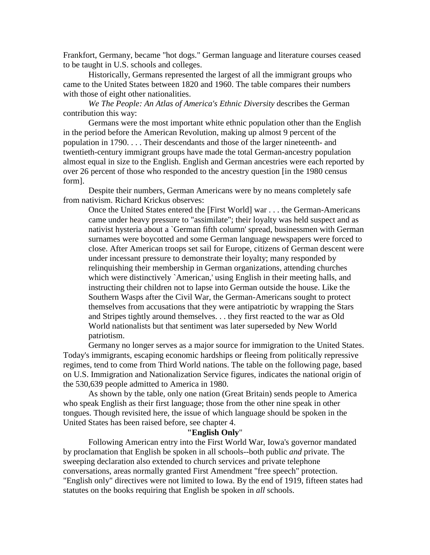Frankfort, Germany, became "hot dogs." German language and literature courses ceased to be taught in U.S. schools and colleges.

Historically, Germans represented the largest of all the immigrant groups who came to the United States between 1820 and 1960. The table compares their numbers with those of eight other nationalities.

*We The People: An Atlas of America's Ethnic Diversity* describes the German contribution this way:

Germans were the most important white ethnic population other than the English in the period before the American Revolution, making up almost 9 percent of the population in 1790. . . . Their descendants and those of the larger nineteenth- and twentieth-century immigrant groups have made the total German-ancestry population almost equal in size to the English. English and German ancestries were each reported by over 26 percent of those who responded to the ancestry question [in the 1980 census form].

Despite their numbers, German Americans were by no means completely safe from nativism. Richard Krickus observes:

Once the United States entered the [First World] war . . . the German-Americans came under heavy pressure to "assimilate"; their loyalty was held suspect and as nativist hysteria about a `German fifth column' spread, businessmen with German surnames were boycotted and some German language newspapers were forced to close. After American troops set sail for Europe, citizens of German descent were under incessant pressure to demonstrate their loyalty; many responded by relinquishing their membership in German organizations, attending churches which were distinctively `American,' using English in their meeting halls, and instructing their children not to lapse into German outside the house. Like the Southern Wasps after the Civil War, the German-Americans sought to protect themselves from accusations that they were antipatriotic by wrapping the Stars and Stripes tightly around themselves. . . they first reacted to the war as Old World nationalists but that sentiment was later superseded by New World patriotism.

Germany no longer serves as a major source for immigration to the United States. Today's immigrants, escaping economic hardships or fleeing from politically repressive regimes, tend to come from Third World nations. The table on the following page, based on U.S. Immigration and Nationalization Service figures, indicates the national origin of the 530,639 people admitted to America in 1980.

As shown by the table, only one nation (Great Britain) sends people to America who speak English as their first language; those from the other nine speak in other tongues. Though revisited here, the issue of which language should be spoken in the United States has been raised before, see chapter 4.

## **"English Only**"

Following American entry into the First World War, Iowa's governor mandated by proclamation that English be spoken in all schools--both public *and* private. The sweeping declaration also extended to church services and private telephone conversations, areas normally granted First Amendment "free speech" protection. "English only" directives were not limited to Iowa. By the end of 1919, fifteen states had statutes on the books requiring that English be spoken in *all* schools.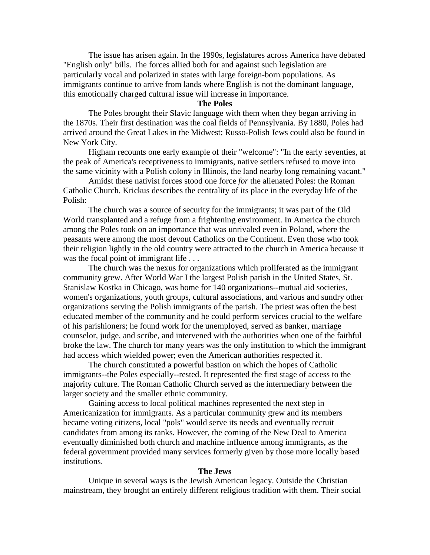The issue has arisen again. In the 1990s, legislatures across America have debated "English only" bills. The forces allied both for and against such legislation are particularly vocal and polarized in states with large foreign-born populations. As immigrants continue to arrive from lands where English is not the dominant language, this emotionally charged cultural issue will increase in importance.

# **The Poles**

The Poles brought their Slavic language with them when they began arriving in the 1870s. Their first destination was the coal fields of Pennsylvania. By 1880, Poles had arrived around the Great Lakes in the Midwest; Russo-Polish Jews could also be found in New York City.

Higham recounts one early example of their "welcome": "In the early seventies, at the peak of America's receptiveness to immigrants, native settlers refused to move into the same vicinity with a Polish colony in Illinois, the land nearby long remaining vacant."

Amidst these nativist forces stood one force *for* the alienated Poles: the Roman Catholic Church. Krickus describes the centrality of its place in the everyday life of the Polish:

The church was a source of security for the immigrants; it was part of the Old World transplanted and a refuge from a frightening environment. In America the church among the Poles took on an importance that was unrivaled even in Poland, where the peasants were among the most devout Catholics on the Continent. Even those who took their religion lightly in the old country were attracted to the church in America because it was the focal point of immigrant life ...

The church was the nexus for organizations which proliferated as the immigrant community grew. After World War I the largest Polish parish in the United States, St. Stanislaw Kostka in Chicago, was home for 140 organizations--mutual aid societies, women's organizations, youth groups, cultural associations, and various and sundry other organizations serving the Polish immigrants of the parish. The priest was often the best educated member of the community and he could perform services crucial to the welfare of his parishioners; he found work for the unemployed, served as banker, marriage counselor, judge, and scribe, and intervened with the authorities when one of the faithful broke the law. The church for many years was the only institution to which the immigrant had access which wielded power; even the American authorities respected it.

The church constituted a powerful bastion on which the hopes of Catholic immigrants--the Poles especially--rested. It represented the first stage of access to the majority culture. The Roman Catholic Church served as the intermediary between the larger society and the smaller ethnic community.

Gaining access to local political machines represented the next step in Americanization for immigrants. As a particular community grew and its members became voting citizens, local "pols" would serve its needs and eventually recruit candidates from among its ranks. However, the coming of the New Deal to America eventually diminished both church and machine influence among immigrants, as the federal government provided many services formerly given by those more locally based institutions.

#### **The Jews**

Unique in several ways is the Jewish American legacy. Outside the Christian mainstream, they brought an entirely different religious tradition with them. Their social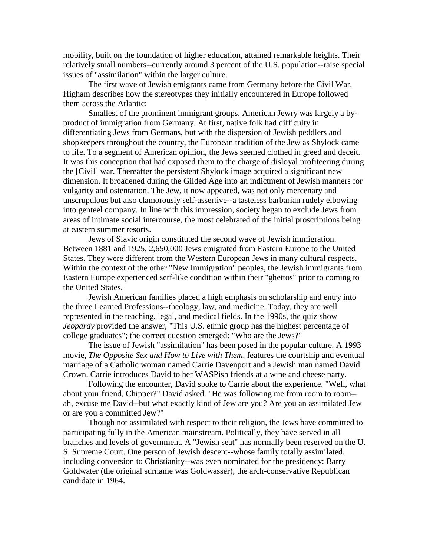mobility, built on the foundation of higher education, attained remarkable heights. Their relatively small numbers--currently around 3 percent of the U.S. population--raise special issues of "assimilation" within the larger culture.

The first wave of Jewish emigrants came from Germany before the Civil War. Higham describes how the stereotypes they initially encountered in Europe followed them across the Atlantic:

Smallest of the prominent immigrant groups, American Jewry was largely a byproduct of immigration from Germany. At first, native folk had difficulty in differentiating Jews from Germans, but with the dispersion of Jewish peddlers and shopkeepers throughout the country, the European tradition of the Jew as Shylock came to life. To a segment of American opinion, the Jews seemed clothed in greed and deceit. It was this conception that had exposed them to the charge of disloyal profiteering during the [Civil] war. Thereafter the persistent Shylock image acquired a significant new dimension. It broadened during the Gilded Age into an indictment of Jewish manners for vulgarity and ostentation. The Jew, it now appeared, was not only mercenary and unscrupulous but also clamorously self-assertive--a tasteless barbarian rudely elbowing into genteel company. In line with this impression, society began to exclude Jews from areas of intimate social intercourse, the most celebrated of the initial proscriptions being at eastern summer resorts.

Jews of Slavic origin constituted the second wave of Jewish immigration. Between 1881 and 1925, 2,650,000 Jews emigrated from Eastern Europe to the United States. They were different from the Western European Jews in many cultural respects. Within the context of the other "New Immigration" peoples, the Jewish immigrants from Eastern Europe experienced serf-like condition within their "ghettos" prior to coming to the United States.

Jewish American families placed a high emphasis on scholarship and entry into the three Learned Professions--theology, law, and medicine. Today, they are well represented in the teaching, legal, and medical fields. In the 1990s, the quiz show *Jeopardy* provided the answer, "This U.S. ethnic group has the highest percentage of college graduates"; the correct question emerged: "Who are the Jews?"

The issue of Jewish "assimilation" has been posed in the popular culture. A 1993 movie, *The Opposite Sex and How to Live with Them,* features the courtship and eventual marriage of a Catholic woman named Carrie Davenport and a Jewish man named David Crown. Carrie introduces David to her WASPish friends at a wine and cheese party.

Following the encounter, David spoke to Carrie about the experience. "Well, what about your friend, Chipper?" David asked. "He was following me from room to room- ah, excuse me David--but what exactly kind of Jew are you? Are you an assimilated Jew or are you a committed Jew?"

Though not assimilated with respect to their religion, the Jews have committed to participating fully in the American mainstream. Politically, they have served in all branches and levels of government. A "Jewish seat" has normally been reserved on the U. S. Supreme Court. One person of Jewish descent--whose family totally assimilated, including conversion to Christianity--was even nominated for the presidency: Barry Goldwater (the original surname was Goldwasser), the arch-conservative Republican candidate in 1964.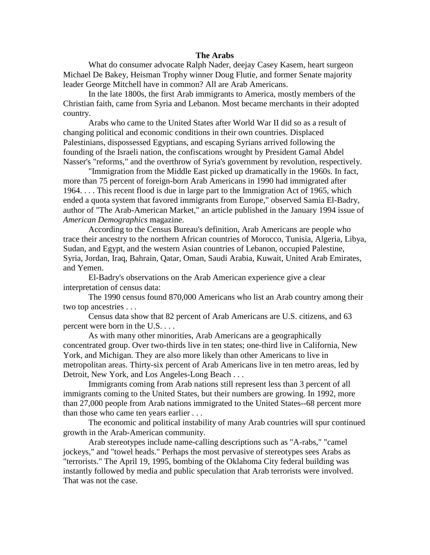## **The Arabs**

What do consumer advocate Ralph Nader, deejay Casey Kasem, heart surgeon Michael De Bakey, Heisman Trophy winner Doug Flutie, and former Senate majority leader George Mitchell have in common? All are Arab Americans.

In the late 1800s, the first Arab immigrants to America, mostly members of the Christian faith, came from Syria and Lebanon. Most became merchants in their adopted country.

Arabs who came to the United States after World War II did so as a result of changing political and economic conditions in their own countries. Displaced Palestinians, dispossessed Egyptians, and escaping Syrians arrived following the founding of the Israeli nation, the confiscations wrought by President Gamal Abdel Nasser's "reforms," and the overthrow of Syria's government by revolution, respectively.

"Immigration from the Middle East picked up dramatically in the 1960s. In fact, more than 75 percent of foreign-born Arab Americans in 1990 had immigrated after 1964. . . . This recent flood is due in large part to the Immigration Act of 1965, which ended a quota system that favored immigrants from Europe," observed Samia El-Badry, author of "The Arab-American Market," an article published in the January 1994 issue of *American Demographics* magazine.

According to the Census Bureau's definition, Arab Americans are people who trace their ancestry to the northern African countries of Morocco, Tunisia, Algeria, Libya, Sudan, and Egypt, and the western Asian countries of Lebanon, occupied Palestine, Syria, Jordan, Iraq, Bahrain, Qatar, Oman, Saudi Arabia, Kuwait, United Arab Emirates, and Yemen.

El-Badry's observations on the Arab American experience give a clear interpretation of census data:

The 1990 census found 870,000 Americans who list an Arab country among their two top ancestries . . .

Census data show that 82 percent of Arab Americans are U.S. citizens, and 63 percent were born in the U.S. . . .

As with many other minorities, Arab Americans are a geographically concentrated group. Over two-thirds live in ten states; one-third live in California, New York, and Michigan. They are also more likely than other Americans to live in metropolitan areas. Thirty-six percent of Arab Americans live in ten metro areas, led by Detroit, New York, and Los Angeles-Long Beach . . .

Immigrants coming from Arab nations still represent less than 3 percent of all immigrants coming to the United States, but their numbers are growing. In 1992, more than 27,000 people from Arab nations immigrated to the United States--68 percent more than those who came ten years earlier . . .

The economic and political instability of many Arab countries will spur continued growth in the Arab-American community.

Arab stereotypes include name-calling descriptions such as "A-rabs," "camel jockeys," and "towel heads." Perhaps the most pervasive of stereotypes sees Arabs as "terrorists." The April 19, 1995, bombing of the Oklahoma City federal building was instantly followed by media and public speculation that Arab terrorists were involved. That was not the case.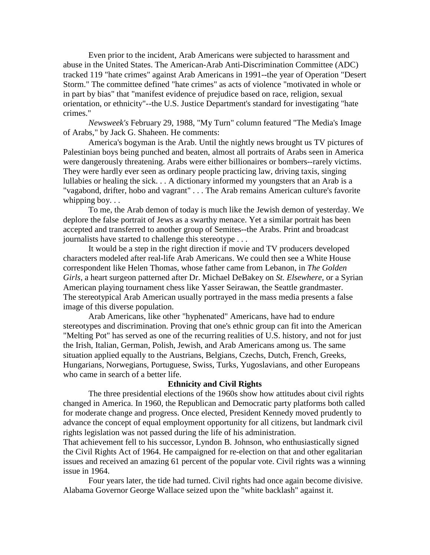Even prior to the incident, Arab Americans were subjected to harassment and abuse in the United States. The American-Arab Anti-Discrimination Committee (ADC) tracked 119 "hate crimes" against Arab Americans in 1991--the year of Operation "Desert Storm." The committee defined "hate crimes" as acts of violence "motivated in whole or in part by bias" that "manifest evidence of prejudice based on race, religion, sexual orientation, or ethnicity"--the U.S. Justice Department's standard for investigating "hate crimes."

*Newsweek's* February 29, 1988, "My Turn" column featured "The Media's Image of Arabs," by Jack G. Shaheen. He comments:

America's bogyman is the Arab. Until the nightly news brought us TV pictures of Palestinian boys being punched and beaten, almost all portraits of Arabs seen in America were dangerously threatening. Arabs were either billionaires or bombers--rarely victims. They were hardly ever seen as ordinary people practicing law, driving taxis, singing lullabies or healing the sick. . . A dictionary informed my youngsters that an Arab is a "vagabond, drifter, hobo and vagrant" . . . The Arab remains American culture's favorite whipping boy...

To me, the Arab demon of today is much like the Jewish demon of yesterday. We deplore the false portrait of Jews as a swarthy menace. Yet a similar portrait has been accepted and transferred to another group of Semites--the Arabs. Print and broadcast journalists have started to challenge this stereotype . . .

It would be a step in the right direction if movie and TV producers developed characters modeled after real-life Arab Americans. We could then see a White House correspondent like Helen Thomas, whose father came from Lebanon, in *The Golden Girls,* a heart surgeon patterned after Dr. Michael DeBakey on *St. Elsewhere,* or a Syrian American playing tournament chess like Yasser Seirawan, the Seattle grandmaster. The stereotypical Arab American usually portrayed in the mass media presents a false image of this diverse population.

Arab Americans, like other "hyphenated" Americans, have had to endure stereotypes and discrimination. Proving that one's ethnic group can fit into the American "Melting Pot" has served as one of the recurring realities of U.S. history, and not for just the Irish, Italian, German, Polish, Jewish, and Arab Americans among us. The same situation applied equally to the Austrians, Belgians, Czechs, Dutch, French, Greeks, Hungarians, Norwegians, Portuguese, Swiss, Turks, Yugoslavians, and other Europeans who came in search of a better life.

### **Ethnicity and Civil Rights**

The three presidential elections of the 1960s show how attitudes about civil rights changed in America. In 1960, the Republican and Democratic party platforms both called for moderate change and progress. Once elected, President Kennedy moved prudently to advance the concept of equal employment opportunity for all citizens, but landmark civil rights legislation was not passed during the life of his administration.

That achievement fell to his successor, Lyndon B. Johnson, who enthusiastically signed the Civil Rights Act of 1964. He campaigned for re-election on that and other egalitarian issues and received an amazing 61 percent of the popular vote. Civil rights was a winning issue in 1964.

Four years later, the tide had turned. Civil rights had once again become divisive. Alabama Governor George Wallace seized upon the "white backlash" against it.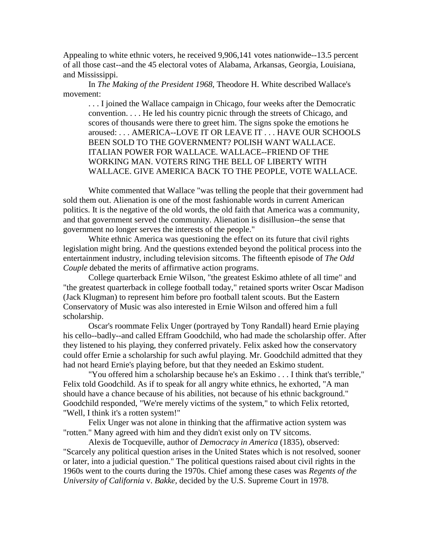Appealing to white ethnic voters, he received 9,906,141 votes nationwide--13.5 percent of all those cast--and the 45 electoral votes of Alabama, Arkansas, Georgia, Louisiana, and Mississippi.

In *The Making of the President 1968,* Theodore H. White described Wallace's movement:

. . . I joined the Wallace campaign in Chicago, four weeks after the Democratic convention. . . . He led his country picnic through the streets of Chicago, and scores of thousands were there to greet him. The signs spoke the emotions he aroused: . . . AMERICA--LOVE IT OR LEAVE IT . . . HAVE OUR SCHOOLS BEEN SOLD TO THE GOVERNMENT? POLISH WANT WALLACE. ITALIAN POWER FOR WALLACE. WALLACE--FRIEND OF THE WORKING MAN. VOTERS RING THE BELL OF LIBERTY WITH WALLACE. GIVE AMERICA BACK TO THE PEOPLE, VOTE WALLACE.

White commented that Wallace "was telling the people that their government had sold them out. Alienation is one of the most fashionable words in current American politics. It is the negative of the old words, the old faith that America was a community, and that government served the community. Alienation is disillusion--the sense that government no longer serves the interests of the people."

White ethnic America was questioning the effect on its future that civil rights legislation might bring. And the questions extended beyond the political process into the entertainment industry, including television sitcoms. The fifteenth episode of *The Odd Couple* debated the merits of affirmative action programs.

College quarterback Ernie Wilson, "the greatest Eskimo athlete of all time" and "the greatest quarterback in college football today," retained sports writer Oscar Madison (Jack Klugman) to represent him before pro football talent scouts. But the Eastern Conservatory of Music was also interested in Ernie Wilson and offered him a full scholarship.

Oscar's roommate Felix Unger (portrayed by Tony Randall) heard Ernie playing his cello--badly--and called Effram Goodchild, who had made the scholarship offer. After they listened to his playing, they conferred privately. Felix asked how the conservatory could offer Ernie a scholarship for such awful playing. Mr. Goodchild admitted that they had not heard Ernie's playing before, but that they needed an Eskimo student.

"You offered him a scholarship because he's an Eskimo . . . I think that's terrible," Felix told Goodchild. As if to speak for all angry white ethnics, he exhorted, "A man should have a chance because of his abilities, not because of his ethnic background." Goodchild responded, "We're merely victims of the system," to which Felix retorted, "Well, I think it's a rotten system!"

Felix Unger was not alone in thinking that the affirmative action system was "rotten." Many agreed with him and they didn't exist only on TV sitcoms.

Alexis de Tocqueville, author of *Democracy in America* (1835), observed: "Scarcely any political question arises in the United States which is not resolved, sooner or later, into a judicial question." The political questions raised about civil rights in the 1960s went to the courts during the 1970s. Chief among these cases was *Regents of the University of California* v. *Bakke,* decided by the U.S. Supreme Court in 1978.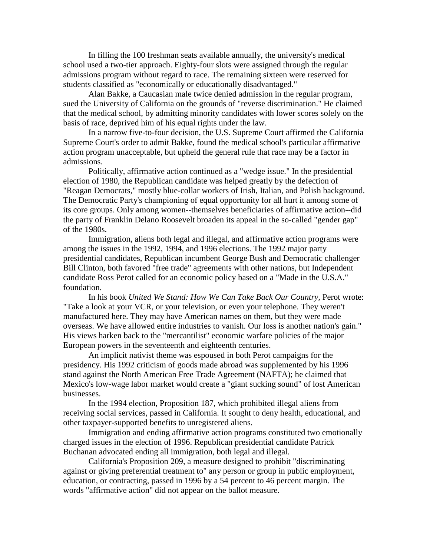In filling the 100 freshman seats available annually, the university's medical school used a two-tier approach. Eighty-four slots were assigned through the regular admissions program without regard to race. The remaining sixteen were reserved for students classified as "economically or educationally disadvantaged."

Alan Bakke, a Caucasian male twice denied admission in the regular program, sued the University of California on the grounds of "reverse discrimination." He claimed that the medical school, by admitting minority candidates with lower scores solely on the basis of race, deprived him of his equal rights under the law.

In a narrow five-to-four decision, the U.S. Supreme Court affirmed the California Supreme Court's order to admit Bakke, found the medical school's particular affirmative action program unacceptable, but upheld the general rule that race may be a factor in admissions.

Politically, affirmative action continued as a "wedge issue." In the presidential election of 1980, the Republican candidate was helped greatly by the defection of "Reagan Democrats," mostly blue-collar workers of Irish, Italian, and Polish background. The Democratic Party's championing of equal opportunity for all hurt it among some of its core groups. Only among women--themselves beneficiaries of affirmative action--did the party of Franklin Delano Roosevelt broaden its appeal in the so-called "gender gap" of the 1980s.

Immigration, aliens both legal and illegal, and affirmative action programs were among the issues in the 1992, 1994, and 1996 elections. The 1992 major party presidential candidates, Republican incumbent George Bush and Democratic challenger Bill Clinton, both favored "free trade" agreements with other nations, but Independent candidate Ross Perot called for an economic policy based on a "Made in the U.S.A." foundation.

In his book *United We Stand: How We Can Take Back Our Country,* Perot wrote: "Take a look at your VCR, or your television, or even your telephone. They weren't manufactured here. They may have American names on them, but they were made overseas. We have allowed entire industries to vanish. Our loss is another nation's gain." His views harken back to the "mercantilist" economic warfare policies of the major European powers in the seventeenth and eighteenth centuries.

An implicit nativist theme was espoused in both Perot campaigns for the presidency. His 1992 criticism of goods made abroad was supplemented by his 1996 stand against the North American Free Trade Agreement (NAFTA); he claimed that Mexico's low-wage labor market would create a "giant sucking sound" of lost American businesses.

In the 1994 election, Proposition 187, which prohibited illegal aliens from receiving social services, passed in California. It sought to deny health, educational, and other taxpayer-supported benefits to unregistered aliens.

Immigration and ending affirmative action programs constituted two emotionally charged issues in the election of 1996. Republican presidential candidate Patrick Buchanan advocated ending all immigration, both legal and illegal.

California's Proposition 209, a measure designed to prohibit "discriminating against or giving preferential treatment to" any person or group in public employment, education, or contracting, passed in 1996 by a 54 percent to 46 percent margin. The words "affirmative action" did not appear on the ballot measure.